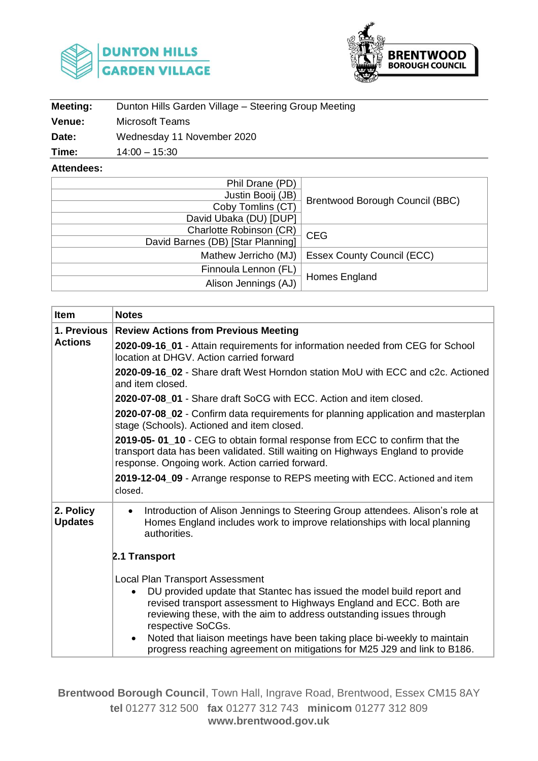



| <b>Meeting:</b> | Dunton Hills Garden Village - Steering Group Meeting |  |  |
|-----------------|------------------------------------------------------|--|--|
| <b>Venue:</b>   | Microsoft Teams                                      |  |  |
| Date:           | Wednesday 11 November 2020                           |  |  |
| Time:           | $14:00 - 15:30$                                      |  |  |

**Attendees:**

| Phil Drane (PD)                   |                                   |  |  |
|-----------------------------------|-----------------------------------|--|--|
| Justin Booij (JB)                 |                                   |  |  |
| Coby Tomlins (CT)                 | Brentwood Borough Council (BBC)   |  |  |
| David Ubaka (DU) [DUP]            |                                   |  |  |
| Charlotte Robinson (CR)           | <b>CEG</b>                        |  |  |
| David Barnes (DB) [Star Planning] |                                   |  |  |
| Mathew Jerricho (MJ)              | <b>Essex County Council (ECC)</b> |  |  |
| Finnoula Lennon (FL)              |                                   |  |  |
| Alison Jennings (AJ)              | Homes England                     |  |  |

| Item                        | <b>Notes</b>                                                                                                                                                                                                                                                                                                                                                                                                                                                        |  |  |
|-----------------------------|---------------------------------------------------------------------------------------------------------------------------------------------------------------------------------------------------------------------------------------------------------------------------------------------------------------------------------------------------------------------------------------------------------------------------------------------------------------------|--|--|
| <b>1. Previous</b>          | <b>Review Actions from Previous Meeting</b>                                                                                                                                                                                                                                                                                                                                                                                                                         |  |  |
| <b>Actions</b>              | 2020-09-16_01 - Attain requirements for information needed from CEG for School<br>location at DHGV. Action carried forward                                                                                                                                                                                                                                                                                                                                          |  |  |
|                             | 2020-09-16 02 - Share draft West Horndon station MoU with ECC and c2c. Actioned<br>and item closed.                                                                                                                                                                                                                                                                                                                                                                 |  |  |
|                             | 2020-07-08 01 - Share draft SoCG with ECC. Action and item closed.                                                                                                                                                                                                                                                                                                                                                                                                  |  |  |
|                             | 2020-07-08_02 - Confirm data requirements for planning application and masterplan<br>stage (Schools). Actioned and item closed.                                                                                                                                                                                                                                                                                                                                     |  |  |
|                             | 2019-05-01_10 - CEG to obtain formal response from ECC to confirm that the<br>transport data has been validated. Still waiting on Highways England to provide<br>response. Ongoing work. Action carried forward.                                                                                                                                                                                                                                                    |  |  |
|                             | 2019-12-04_09 - Arrange response to REPS meeting with ECC. Actioned and item<br>closed.                                                                                                                                                                                                                                                                                                                                                                             |  |  |
| 2. Policy<br><b>Updates</b> | Introduction of Alison Jennings to Steering Group attendees. Alison's role at<br>$\bullet$<br>Homes England includes work to improve relationships with local planning<br>authorities.                                                                                                                                                                                                                                                                              |  |  |
|                             | 2.1 Transport                                                                                                                                                                                                                                                                                                                                                                                                                                                       |  |  |
|                             | <b>Local Plan Transport Assessment</b><br>DU provided update that Stantec has issued the model build report and<br>$\bullet$<br>revised transport assessment to Highways England and ECC. Both are<br>reviewing these, with the aim to address outstanding issues through<br>respective SoCGs.<br>Noted that liaison meetings have been taking place bi-weekly to maintain<br>$\bullet$<br>progress reaching agreement on mitigations for M25 J29 and link to B186. |  |  |

**Brentwood Borough Council**, Town Hall, Ingrave Road, Brentwood, Essex CM15 8AY **tel** 01277 312 500 **fax** 01277 312 743 **minicom** 01277 312 809 **www.brentwood.gov.uk**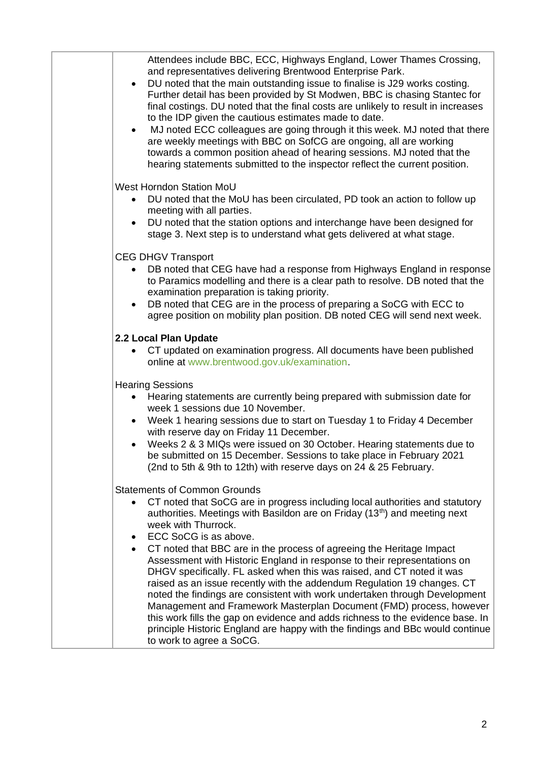| Attendees include BBC, ECC, Highways England, Lower Thames Crossing,<br>and representatives delivering Brentwood Enterprise Park.<br>DU noted that the main outstanding issue to finalise is J29 works costing.<br>Further detail has been provided by St Modwen, BBC is chasing Stantec for<br>final costings. DU noted that the final costs are unlikely to result in increases<br>to the IDP given the cautious estimates made to date.<br>MJ noted ECC colleagues are going through it this week. MJ noted that there<br>$\bullet$<br>are weekly meetings with BBC on SofCG are ongoing, all are working<br>towards a common position ahead of hearing sessions. MJ noted that the<br>hearing statements submitted to the inspector reflect the current position.                                                                                                                                                                               |
|-----------------------------------------------------------------------------------------------------------------------------------------------------------------------------------------------------------------------------------------------------------------------------------------------------------------------------------------------------------------------------------------------------------------------------------------------------------------------------------------------------------------------------------------------------------------------------------------------------------------------------------------------------------------------------------------------------------------------------------------------------------------------------------------------------------------------------------------------------------------------------------------------------------------------------------------------------|
| West Horndon Station MoU<br>DU noted that the MoU has been circulated, PD took an action to follow up<br>$\bullet$<br>meeting with all parties.<br>DU noted that the station options and interchange have been designed for<br>stage 3. Next step is to understand what gets delivered at what stage.                                                                                                                                                                                                                                                                                                                                                                                                                                                                                                                                                                                                                                               |
| <b>CEG DHGV Transport</b><br>DB noted that CEG have had a response from Highways England in response<br>to Paramics modelling and there is a clear path to resolve. DB noted that the<br>examination preparation is taking priority.<br>DB noted that CEG are in the process of preparing a SoCG with ECC to<br>agree position on mobility plan position. DB noted CEG will send next week.                                                                                                                                                                                                                                                                                                                                                                                                                                                                                                                                                         |
| 2.2 Local Plan Update<br>CT updated on examination progress. All documents have been published<br>online at www.brentwood.gov.uk/examination.                                                                                                                                                                                                                                                                                                                                                                                                                                                                                                                                                                                                                                                                                                                                                                                                       |
| <b>Hearing Sessions</b><br>• Hearing statements are currently being prepared with submission date for<br>week 1 sessions due 10 November.<br>Week 1 hearing sessions due to start on Tuesday 1 to Friday 4 December<br>$\bullet$<br>with reserve day on Friday 11 December.<br>Weeks 2 & 3 MIQs were issued on 30 October. Hearing statements due to<br>be submitted on 15 December. Sessions to take place in February 2021<br>(2nd to 5th & 9th to 12th) with reserve days on 24 & 25 February.                                                                                                                                                                                                                                                                                                                                                                                                                                                   |
| <b>Statements of Common Grounds</b><br>CT noted that SoCG are in progress including local authorities and statutory<br>authorities. Meetings with Basildon are on Friday (13 <sup>th</sup> ) and meeting next<br>week with Thurrock.<br>ECC SoCG is as above.<br>$\bullet$<br>CT noted that BBC are in the process of agreeing the Heritage Impact<br>$\bullet$<br>Assessment with Historic England in response to their representations on<br>DHGV specifically. FL asked when this was raised, and CT noted it was<br>raised as an issue recently with the addendum Regulation 19 changes. CT<br>noted the findings are consistent with work undertaken through Development<br>Management and Framework Masterplan Document (FMD) process, however<br>this work fills the gap on evidence and adds richness to the evidence base. In<br>principle Historic England are happy with the findings and BBc would continue<br>to work to agree a SoCG. |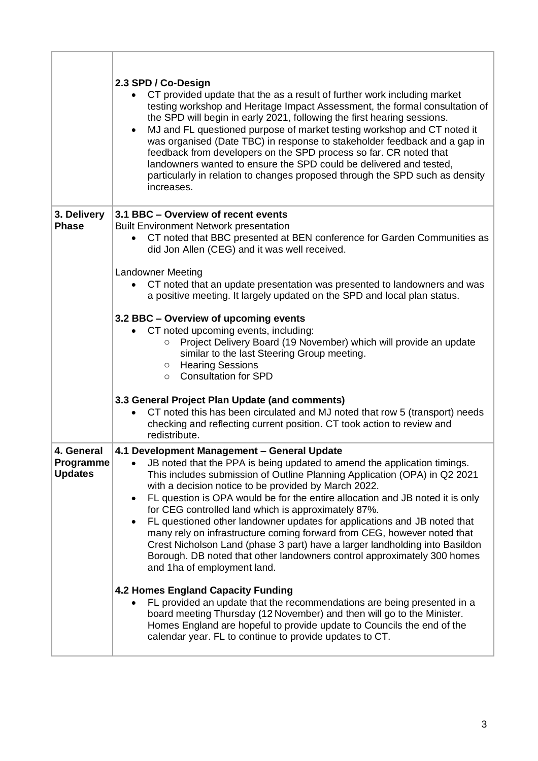|                                           | 2.3 SPD / Co-Design<br>CT provided update that the as a result of further work including market<br>testing workshop and Heritage Impact Assessment, the formal consultation of<br>the SPD will begin in early 2021, following the first hearing sessions.<br>MJ and FL questioned purpose of market testing workshop and CT noted it<br>$\bullet$<br>was organised (Date TBC) in response to stakeholder feedback and a gap in<br>feedback from developers on the SPD process so far. CR noted that<br>landowners wanted to ensure the SPD could be delivered and tested,<br>particularly in relation to changes proposed through the SPD such as density<br>increases.                                                                                                                                        |
|-------------------------------------------|----------------------------------------------------------------------------------------------------------------------------------------------------------------------------------------------------------------------------------------------------------------------------------------------------------------------------------------------------------------------------------------------------------------------------------------------------------------------------------------------------------------------------------------------------------------------------------------------------------------------------------------------------------------------------------------------------------------------------------------------------------------------------------------------------------------|
| 3. Delivery<br><b>Phase</b>               | 3.1 BBC - Overview of recent events<br><b>Built Environment Network presentation</b><br>CT noted that BBC presented at BEN conference for Garden Communities as<br>did Jon Allen (CEG) and it was well received.<br><b>Landowner Meeting</b><br>CT noted that an update presentation was presented to landowners and was<br>a positive meeting. It largely updated on the SPD and local plan status.<br>3.2 BBC - Overview of upcoming events<br>• CT noted upcoming events, including:<br>Project Delivery Board (19 November) which will provide an update<br>similar to the last Steering Group meeting.<br><b>Hearing Sessions</b><br>$\circ$<br><b>Consultation for SPD</b><br>$\circ$                                                                                                                    |
|                                           | 3.3 General Project Plan Update (and comments)<br>CT noted this has been circulated and MJ noted that row 5 (transport) needs<br>checking and reflecting current position. CT took action to review and<br>redistribute.                                                                                                                                                                                                                                                                                                                                                                                                                                                                                                                                                                                       |
| 4. General<br>Programme<br><b>Updates</b> | 4.1 Development Management - General Update<br>JB noted that the PPA is being updated to amend the application timings.<br>This includes submission of Outline Planning Application (OPA) in Q2 2021<br>with a decision notice to be provided by March 2022.<br>FL question is OPA would be for the entire allocation and JB noted it is only<br>$\bullet$<br>for CEG controlled land which is approximately 87%.<br>FL questioned other landowner updates for applications and JB noted that<br>many rely on infrastructure coming forward from CEG, however noted that<br>Crest Nicholson Land (phase 3 part) have a larger landholding into Basildon<br>Borough. DB noted that other landowners control approximately 300 homes<br>and 1ha of employment land.<br><b>4.2 Homes England Capacity Funding</b> |
|                                           | FL provided an update that the recommendations are being presented in a<br>board meeting Thursday (12 November) and then will go to the Minister.<br>Homes England are hopeful to provide update to Councils the end of the<br>calendar year. FL to continue to provide updates to CT.                                                                                                                                                                                                                                                                                                                                                                                                                                                                                                                         |